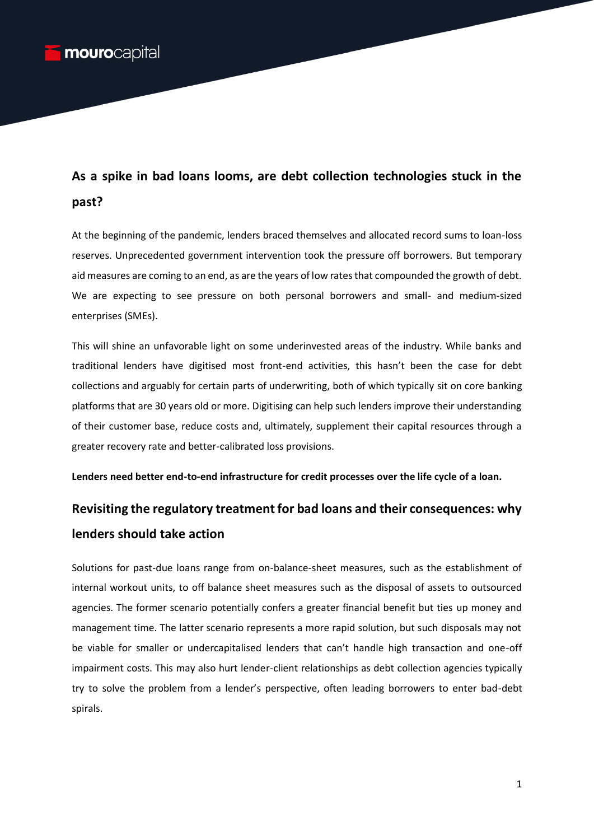## **As a spike in bad loans looms, are debt collection technologies stuck in the past?**

At the beginning of the pandemic, lenders braced themselves and allocated record sums to loan-loss reserves. Unprecedented government intervention took the pressure off borrowers. But temporary aid measures are coming to an end, as are the years of low rates that compounded the growth of debt. We are expecting to see pressure on both personal borrowers and small- and medium-sized enterprises (SMEs).

This will shine an unfavorable light on some underinvested areas of the industry. While banks and traditional lenders have digitised most front-end activities, this hasn't been the case for debt collections and arguably for certain parts of underwriting, both of which typically sit on core banking platforms that are 30 years old or more. Digitising can help such lenders improve their understanding of their customer base, reduce costs and, ultimately, supplement their capital resources through a greater recovery rate and better-calibrated loss provisions.

**Lenders need better end-to-end infrastructure for credit processes over the life cycle of a loan.** 

# **Revisiting the regulatory treatment for bad loans and their consequences: why lenders should take action**

Solutions for past-due loans range from on-balance-sheet measures, such as the establishment of internal workout units, to off balance sheet measures such as the disposal of assets to outsourced agencies. The former scenario potentially confers a greater financial benefit but ties up money and management time. The latter scenario represents a more rapid solution, but such disposals may not be viable for smaller or undercapitalised lenders that can't handle high transaction and one-off impairment costs. This may also hurt lender-client relationships as debt collection agencies typically try to solve the problem from a lender's perspective, often leading borrowers to enter bad-debt spirals.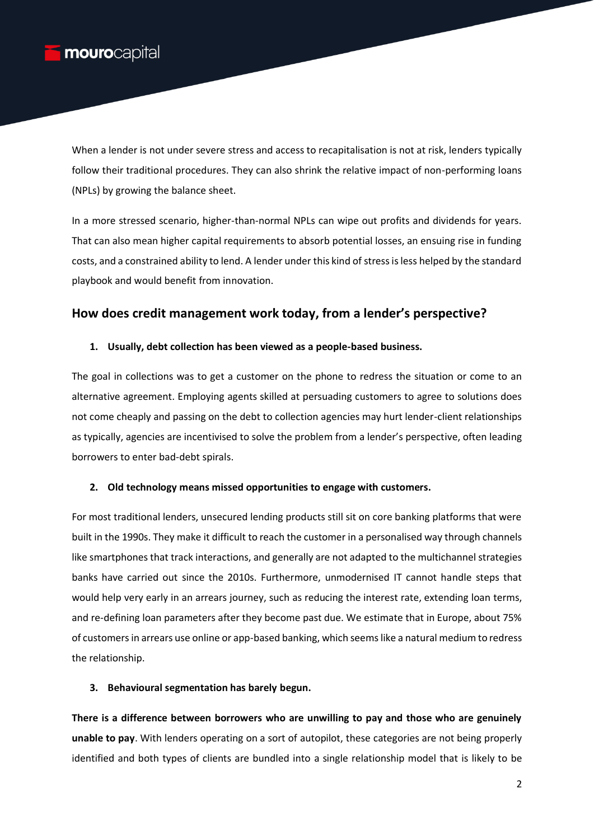When a lender is not under severe stress and access to recapitalisation is not at risk, lenders typically follow their traditional procedures. They can also shrink the relative impact of non-performing loans (NPLs) by growing the balance sheet.

In a more stressed scenario, higher-than-normal NPLs can wipe out profits and dividends for years. That can also mean higher capital requirements to absorb potential losses, an ensuing rise in funding costs, and a constrained ability to lend. A lender under this kind of stress is less helped by the standard playbook and would benefit from innovation.

### **How does credit management work today, from a lender's perspective?**

#### **1. Usually, debt collection has been viewed as a people-based business.**

The goal in collections was to get a customer on the phone to redress the situation or come to an alternative agreement. Employing agents skilled at persuading customers to agree to solutions does not come cheaply and passing on the debt to collection agencies may hurt lender-client relationships as typically, agencies are incentivised to solve the problem from a lender's perspective, often leading borrowers to enter bad-debt spirals.

#### **2. Old technology means missed opportunities to engage with customers.**

For most traditional lenders, unsecured lending products still sit on core banking platforms that were built in the 1990s. They make it difficult to reach the customer in a personalised way through channels like smartphones that track interactions, and generally are not adapted to the multichannel strategies banks have carried out since the 2010s. Furthermore, unmodernised IT cannot handle steps that would help very early in an arrears journey, such as reducing the interest rate, extending loan terms, and re-defining loan parameters after they become past due. We estimate that in Europe, about 75% of customers in arrears use online or app-based banking, which seems like a natural medium to redress the relationship.

#### **3. Behavioural segmentation has barely begun.**

**There is a difference between borrowers who are unwilling to pay and those who are genuinely unable to pay**. With lenders operating on a sort of autopilot, these categories are not being properly identified and both types of clients are bundled into a single relationship model that is likely to be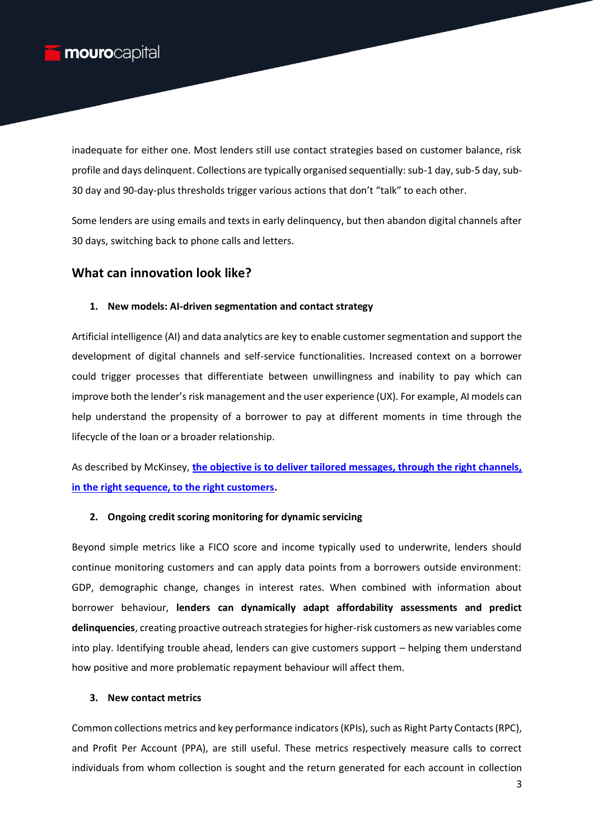inadequate for either one. Most lenders still use contact strategies based on customer balance, risk profile and days delinquent. Collections are typically organised sequentially: sub-1 day, sub-5 day, sub-30 day and 90-day-plus thresholds trigger various actions that don't "talk" to each other.

Some lenders are using emails and texts in early delinquency, but then abandon digital channels after 30 days, switching back to phone calls and letters.

## **What can innovation look like?**

#### **1. New models: AI-driven segmentation and contact strategy**

Artificial intelligence (AI) and data analytics are key to enable customer segmentation and support the development of digital channels and self-service functionalities. Increased context on a borrower could trigger processes that differentiate between unwillingness and inability to pay which can improve both the lender's risk management and the user experience (UX). For example, AI models can help understand the propensity of a borrower to pay at different moments in time through the lifecycle of the loan or a broader relationship.

As described by McKinsey, **[the objective is to deliver tailored messages, through the right channels,](https://www.mckinsey.com/business-functions/risk-and-resilience/our-insights/the-customer-mandate-to-digitize-collections-strategies)  [in the right sequence, to the right customers.](https://www.mckinsey.com/business-functions/risk-and-resilience/our-insights/the-customer-mandate-to-digitize-collections-strategies)**

#### **2. Ongoing credit scoring monitoring for dynamic servicing**

Beyond simple metrics like a FICO score and income typically used to underwrite, lenders should continue monitoring customers and can apply data points from a borrowers outside environment: GDP, demographic change, changes in interest rates. When combined with information about borrower behaviour, **lenders can dynamically adapt affordability assessments and predict delinquencies**, creating proactive outreach strategies for higher-risk customers as new variables come into play. Identifying trouble ahead, lenders can give customers support – helping them understand how positive and more problematic repayment behaviour will affect them.

#### **3. New contact metrics**

Common collections metrics and key performance indicators (KPIs), such as Right Party Contacts (RPC), and Profit Per Account (PPA), are still useful. These metrics respectively measure calls to correct individuals from whom collection is sought and the return generated for each account in collection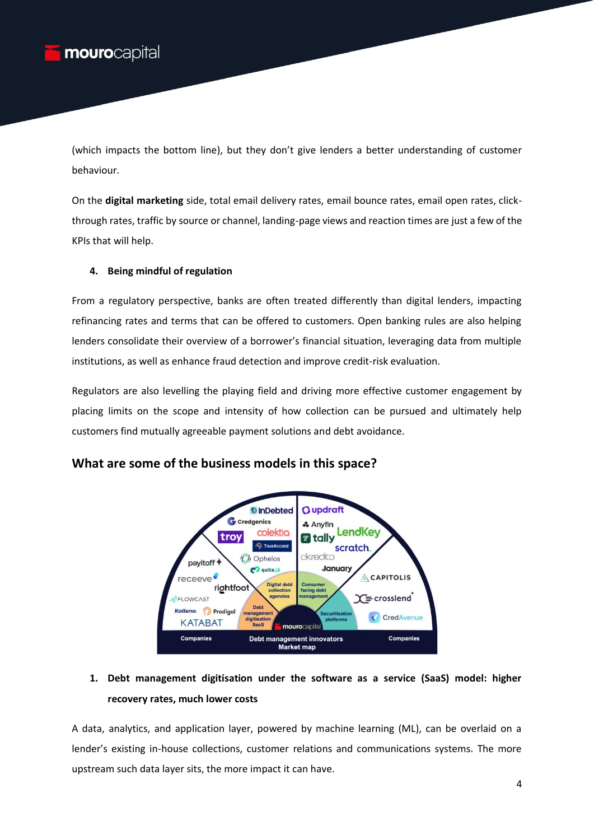(which impacts the bottom line), but they don't give lenders a better understanding of customer behaviour.

On the **digital marketing** side, total email delivery rates, email bounce rates, email open rates, clickthrough rates, traffic by source or channel, landing-page views and reaction times are just a few of the KPIs that will help.

#### **4. Being mindful of regulation**

From a regulatory perspective, banks are often treated differently than digital lenders, impacting refinancing rates and terms that can be offered to customers. Open banking rules are also helping lenders consolidate their overview of a borrower's financial situation, leveraging data from multiple institutions, as well as enhance fraud detection and improve credit-risk evaluation.

Regulators are also levelling the playing field and driving more effective customer engagement by placing limits on the scope and intensity of how collection can be pursued and ultimately help customers find mutually agreeable payment solutions and debt avoidance.



## **What are some of the business models in this space?**

## **1. Debt management digitisation under the software as a service (SaaS) model: higher recovery rates, much lower costs**

A data, analytics, and application layer, powered by machine learning (ML), can be overlaid on a lender's existing in-house collections, customer relations and communications systems. The more upstream such data layer sits, the more impact it can have.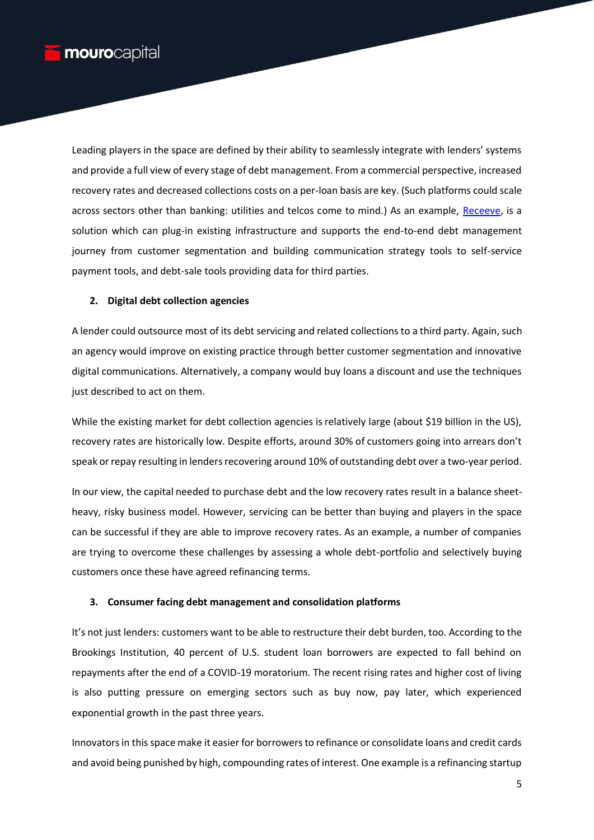Leading players in the space are defined by their ability to seamlessly integrate with lenders' systems and provide a full view of every stage of debt management. From a commercial perspective, increased recovery rates and decreased collections costs on a per-loan basis are key. (Such platforms could scale across sectors other than banking: utilities and telcos come to mind.) As an example, [Receeve,](https://receeve.com/en/) is a solution which can plug-in existing infrastructure and supports the end-to-end debt management journey from customer segmentation and building communication strategy tools to self-service payment tools, and debt-sale tools providing data for third parties.

#### **2. Digital debt collection agencies**

A lender could outsource most of its debt servicing and related collections to a third party. Again, such an agency would improve on existing practice through better customer segmentation and innovative digital communications. Alternatively, a company would buy loans a discount and use the techniques just described to act on them.

While the existing market for debt collection agencies is relatively large (about \$19 billion in the US), recovery rates are historically low. Despite efforts, around 30% of customers going into arrears don't speak or repay resulting in lenders recovering around 10% of outstanding debt over a two-year period.

In our view, the capital needed to purchase debt and the low recovery rates result in a balance sheetheavy, risky business model. However, servicing can be better than buying and players in the space can be successful if they are able to improve recovery rates. As an example, a number of companies are trying to overcome these challenges by assessing a whole debt-portfolio and selectively buying customers once these have agreed refinancing terms.

#### **3. Consumer facing debt management and consolidation platforms**

It's not just lenders: customers want to be able to restructure their debt burden, too. According to the Brookings Institution, 40 percent of U.S. student loan borrowers are expected to fall behind on repayments after the end of a COVID-19 moratorium. The recent rising rates and higher cost of living is also putting pressure on emerging sectors such as buy now, pay later, which experienced exponential growth in the past three years.

Innovators in this space make it easier for borrowers to refinance or consolidate loans and credit cards and avoid being punished by high, compounding rates of interest. One example is a refinancing startup